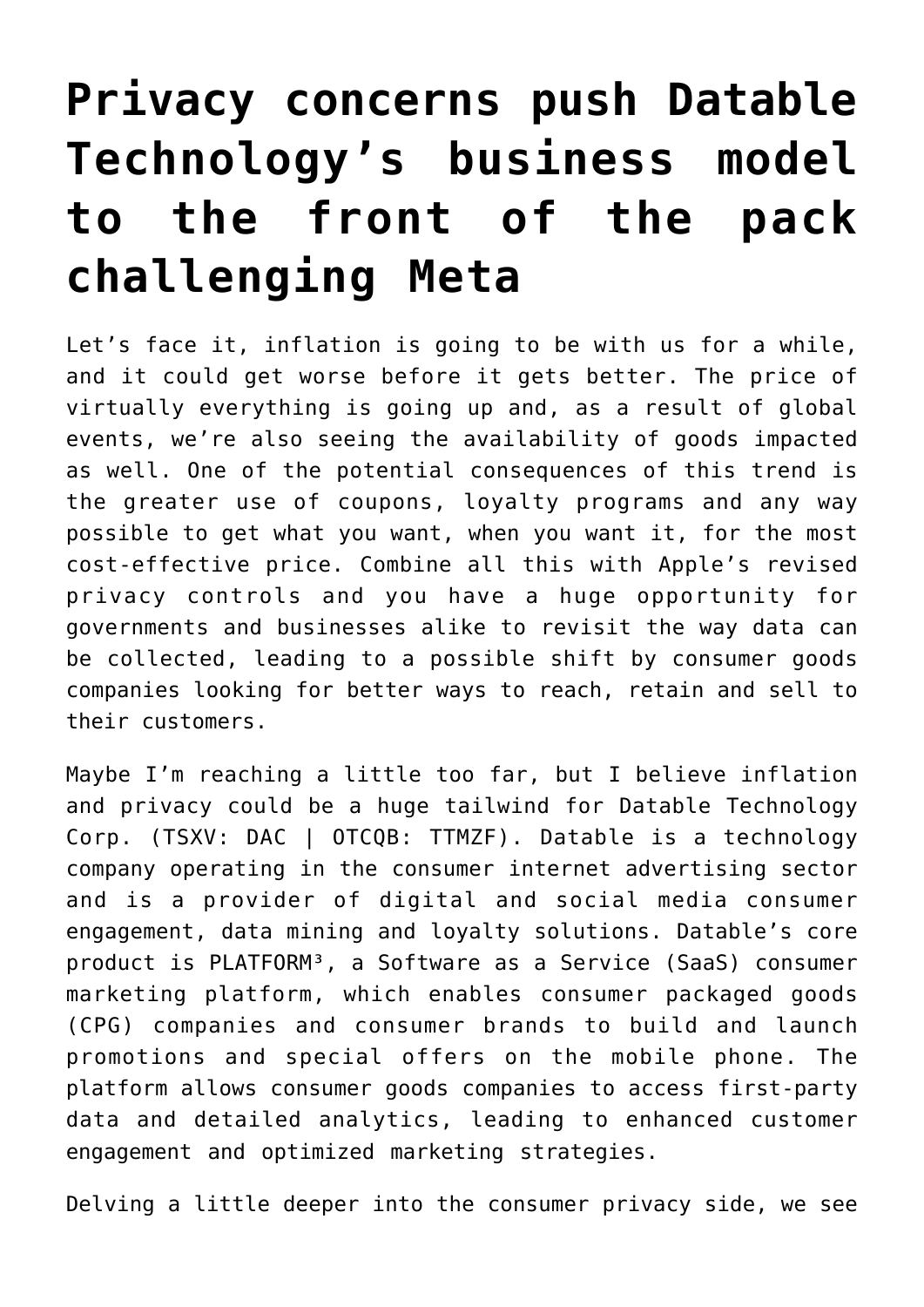## **[Privacy concerns push Datable](https://investorintel.com/markets/technology/technology-intel/privacy-concerns-push-datable-technologys-business-model-to-the-front-of-the-pack-challenging-meta/) [Technology's business model](https://investorintel.com/markets/technology/technology-intel/privacy-concerns-push-datable-technologys-business-model-to-the-front-of-the-pack-challenging-meta/) [to the front of the pack](https://investorintel.com/markets/technology/technology-intel/privacy-concerns-push-datable-technologys-business-model-to-the-front-of-the-pack-challenging-meta/) [challenging Meta](https://investorintel.com/markets/technology/technology-intel/privacy-concerns-push-datable-technologys-business-model-to-the-front-of-the-pack-challenging-meta/)**

Let's face it, inflation is going to be with us for a while, and it could get worse before it gets better. The price of virtually everything is going up and, as a result of global events, we're also seeing the availability of goods impacted as well. One of the potential consequences of this trend is the greater use of coupons, loyalty programs and any way possible to get what you want, when you want it, for the most cost-effective price. Combine all this with Apple's revised privacy controls and you have a huge opportunity for governments and businesses alike to revisit the way data can be collected, leading to a possible shift by consumer goods companies looking for better ways to reach, retain and sell to their customers.

Maybe I'm reaching a little too far, but I believe inflation and privacy could be a huge tailwind for [Datable Technology](https://www.datablecorp.com/) [Corp.](https://www.datablecorp.com/) (TSXV: DAC | OTCQB: TTMZF). Datable is a technology company operating in the consumer internet advertising sector and is a provider of digital and social media consumer engagement, data mining and loyalty solutions. Datable's core product is [PLATFORM³](https://www.datablecorp.com/about/#platform), a Software as a Service (SaaS) consumer marketing platform, which enables consumer packaged goods (CPG) companies and consumer brands to build and launch promotions and special offers on the mobile phone. The platform allows consumer goods companies to access first-party data and detailed analytics, leading to enhanced customer engagement and optimized marketing strategies.

Delving a little deeper into the consumer privacy side, we see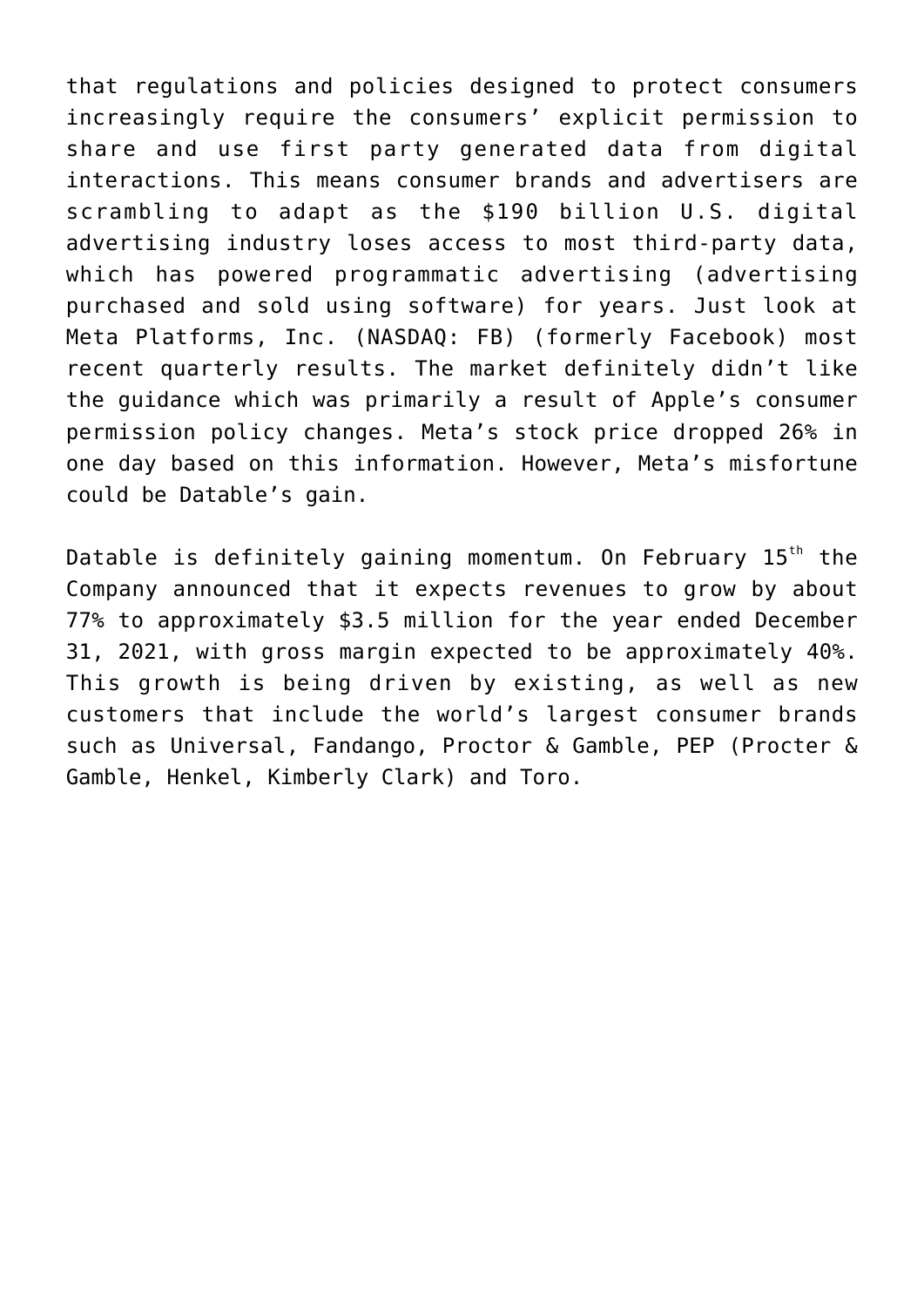that regulations and policies designed to protect consumers increasingly require the consumers' explicit permission to share and use first party generated data from digital interactions. This means consumer brands and advertisers are scrambling to adapt as the \$190 billion U.S. digital advertising industry loses access to most third-party data, which has powered programmatic advertising (advertising purchased and sold using software) for years. Just look at Meta Platforms, Inc. (NASDAQ: FB) (formerly Facebook) most recent quarterly results. The market definitely didn't like the guidance which was primarily a result of Apple's consumer permission policy changes. Meta's stock price dropped 26% in one day based on this information. However, Meta's misfortune could be Datable's gain.

Datable is definitely gaining momentum. On February 15<sup>th</sup> the Company announced that it expects revenues to [grow by about](https://investorintel.com/markets/technology/technology-news/datable-expects-revenue-growth-of-77-percent-in-2021/) [77%](https://investorintel.com/markets/technology/technology-news/datable-expects-revenue-growth-of-77-percent-in-2021/) to approximately \$3.5 million for the year ended December 31, 2021, with gross margin expected to be approximately 40%. This growth is being driven by existing, as well as new customers that include the world's largest consumer brands such as Universal, Fandango, Proctor & Gamble, PEP (Procter & Gamble, Henkel, Kimberly Clark) and Toro.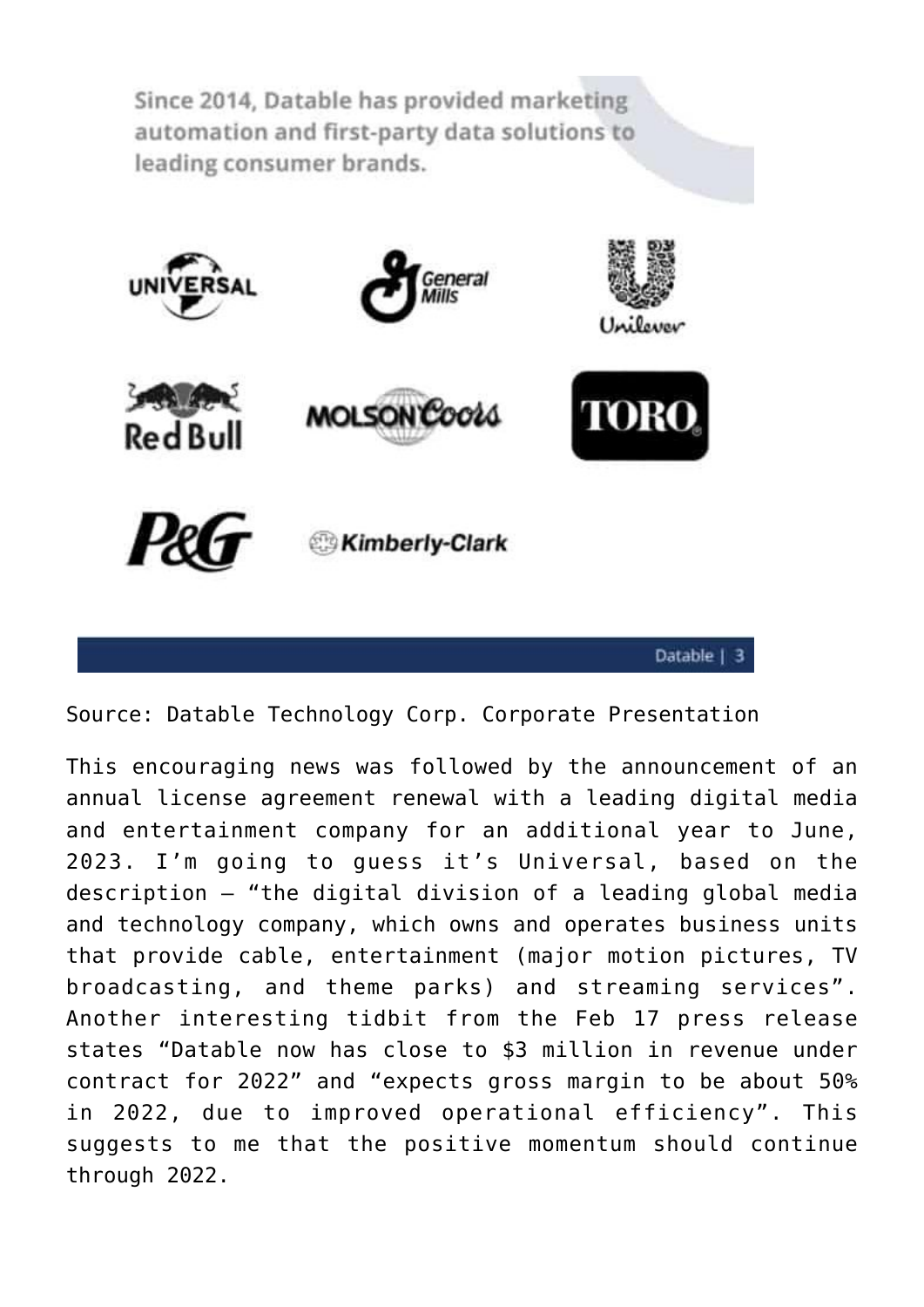Since 2014, Datable has provided marketing automation and first-party data solutions to leading consumer brands.



Source: Datable Technology Corp. [Corporate Presentation](https://www.datablecorp.com/investors/)

This encouraging news was followed by the announcement of an [annual license agreement renewal](https://investorintel.com/markets/technology/technology-news/datable-signs-renewal-with-leading-media-entertainment-company-expects-continued-revenue-growth-in-2022/) with a leading digital media and entertainment company for an additional year to June, 2023. I'm going to guess it's Universal, based on the description – "the digital division of a leading global media and technology company, which owns and operates business units that provide cable, entertainment (major motion pictures, TV broadcasting, and theme parks) and streaming services". Another interesting tidbit from the [Feb 17 press release](https://investorintel.com/markets/technology/technology-news/datable-signs-renewal-with-leading-media-entertainment-company-expects-continued-revenue-growth-in-2022/) states "Datable now has close to \$3 million in revenue under contract for 2022" and "expects gross margin to be about 50% in 2022, due to improved operational efficiency". This suggests to me that the positive momentum should continue through 2022.